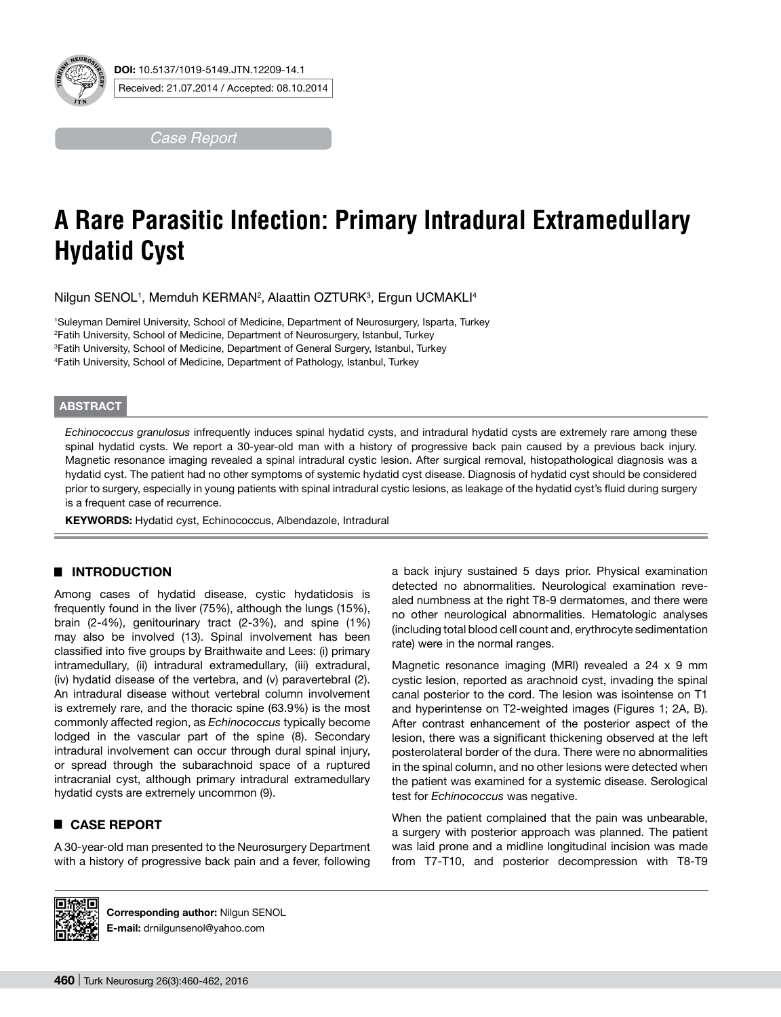

*Case Report*

# **A Rare Parasitic Infection: Primary Intradural Extramedullary Hydatid Cyst**

Nilgun SENOL1, Memduh KERMAN<sup>2</sup>, Alaattin OZTURK3, Ergun UCMAKLI4

 Suleyman Demirel University, School of Medicine, Department of Neurosurgery, Isparta, Turkey Fatih University, School of Medicine, Department of Neurosurgery, Istanbul, Turkey Fatih University, School of Medicine, Department of General Surgery, Istanbul, Turkey Fatih University, School of Medicine, Department of Pathology, Istanbul, Turkey

### **ABSTRACT**

*Echinococcus granulosus* infrequently induces spinal hydatid cysts, and intradural hydatid cysts are extremely rare among these spinal hydatid cysts. We report a 30-year-old man with a history of progressive back pain caused by a previous back injury. Magnetic resonance imaging revealed a spinal intradural cystic lesion. After surgical removal, histopathological diagnosis was a hydatid cyst. The patient had no other symptoms of systemic hydatid cyst disease. Diagnosis of hydatid cyst should be considered prior to surgery, especially in young patients with spinal intradural cystic lesions, as leakage of the hydatid cyst's fluid during surgery is a frequent case of recurrence.

**Keywords:** Hydatid cyst, Echinococcus, Albendazole, Intradural

# █ **INTRODUCTION**

Among cases of hydatid disease, cystic hydatidosis is frequently found in the liver (75%), although the lungs (15%), brain (2-4%), genitourinary tract (2-3%), and spine (1%) may also be involved (13). Spinal involvement has been classified into five groups by Braithwaite and Lees: (i) primary intramedullary, (ii) intradural extramedullary, (iii) extradural, (iv) hydatid disease of the vertebra, and (v) paravertebral (2). An intradural disease without vertebral column involvement is extremely rare, and the thoracic spine (63.9%) is the most commonly affected region, as *Echinococcus* typically become lodged in the vascular part of the spine (8). Secondary intradural involvement can occur through dural spinal injury, or spread through the subarachnoid space of a ruptured intracranial cyst, although primary intradural extramedullary hydatid cysts are extremely uncommon (9).

# █ **CASE REPORT**

A 30-year-old man presented to the Neurosurgery Department with a history of progressive back pain and a fever, following

a back injury sustained 5 days prior. Physical examination detected no abnormalities. Neurological examination revealed numbness at the right T8-9 dermatomes, and there were no other neurological abnormalities. Hematologic analyses (including total blood cell count and, erythrocyte sedimentation rate) were in the normal ranges.

Magnetic resonance imaging (MRI) revealed a 24 x 9 mm cystic lesion, reported as arachnoid cyst, invading the spinal canal posterior to the cord. The lesion was isointense on T1 and hyperintense on T2-weighted images (Figures 1; 2A, B). After contrast enhancement of the posterior aspect of the lesion, there was a significant thickening observed at the left posterolateral border of the dura. There were no abnormalities in the spinal column, and no other lesions were detected when the patient was examined for a systemic disease. Serological test for *Echinococcus* was negative.

When the patient complained that the pain was unbearable, a surgery with posterior approach was planned. The patient was laid prone and a midline longitudinal incision was made from T7-T10, and posterior decompression with T8-T9



**Corresponding author:** Nilgun SENOL **E-mail:** drnilgunsenol@yahoo.com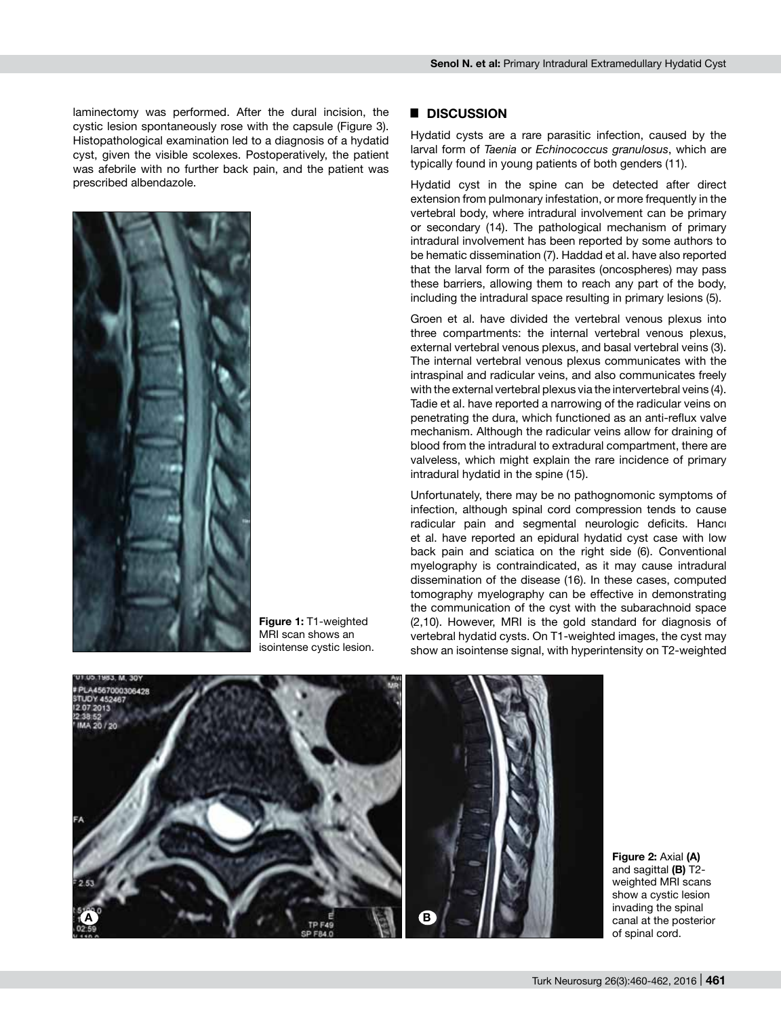laminectomy was performed. After the dural incision, the cystic lesion spontaneously rose with the capsule (Figure 3). Histopathological examination led to a diagnosis of a hydatid cyst, given the visible scolexes. Postoperatively, the patient was afebrile with no further back pain, and the patient was prescribed albendazole.



**Figure 1:** T1-weighted MRI scan shows an isointense cystic lesion.

#### █ **DISCUSSION**

Hydatid cysts are a rare parasitic infection, caused by the larval form of *Taenia* or *Echinococcus granulosus*, which are typically found in young patients of both genders (11).

Hydatid cyst in the spine can be detected after direct extension from pulmonary infestation, or more frequently in the vertebral body, where intradural involvement can be primary or secondary (14). The pathological mechanism of primary intradural involvement has been reported by some authors to be hematic dissemination (7). Haddad et al. have also reported that the larval form of the parasites (oncospheres) may pass these barriers, allowing them to reach any part of the body, including the intradural space resulting in primary lesions (5).

Groen et al. have divided the vertebral venous plexus into three compartments: the internal vertebral venous plexus, external vertebral venous plexus, and basal vertebral veins (3). The internal vertebral venous plexus communicates with the intraspinal and radicular veins, and also communicates freely with the external vertebral plexus via the intervertebral veins (4). Tadie et al. have reported a narrowing of the radicular veins on penetrating the dura, which functioned as an anti-reflux valve mechanism. Although the radicular veins allow for draining of blood from the intradural to extradural compartment, there are valveless, which might explain the rare incidence of primary intradural hydatid in the spine (15).

Unfortunately, there may be no pathognomonic symptoms of infection, although spinal cord compression tends to cause radicular pain and segmental neurologic deficits. Hancı et al. have reported an epidural hydatid cyst case with low back pain and sciatica on the right side (6). Conventional myelography is contraindicated, as it may cause intradural dissemination of the disease (16). In these cases, computed tomography myelography can be effective in demonstrating the communication of the cyst with the subarachnoid space (2,10). However, MRI is the gold standard for diagnosis of vertebral hydatid cysts. On T1-weighted images, the cyst may show an isointense signal, with hyperintensity on T2-weighted



**Figure 2:** Axial **(A)** and sagittal **(B)** T2 weighted MRI scans show a cystic lesion invading the spinal canal at the posterior of spinal cord.